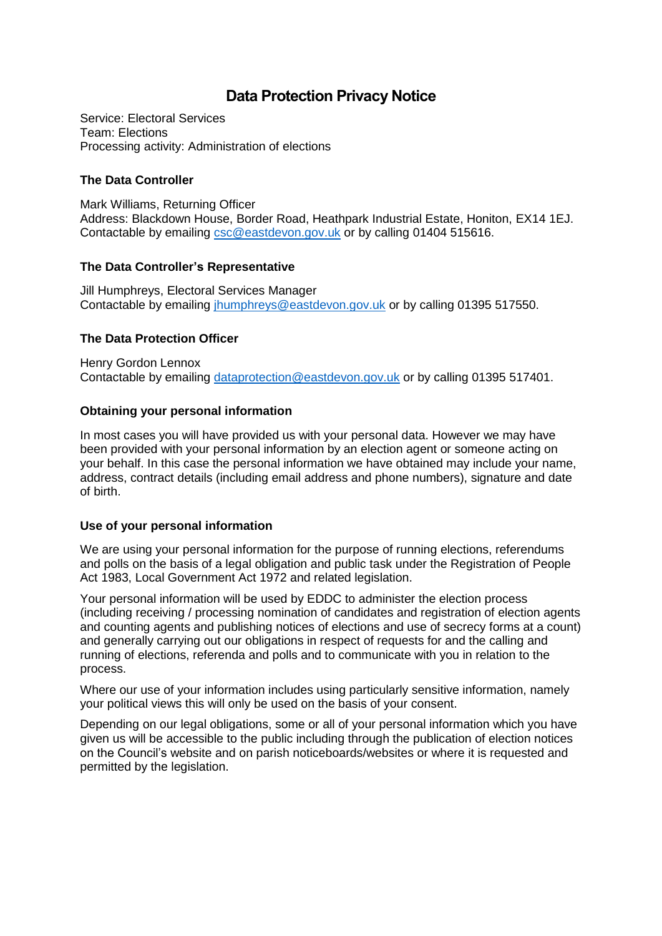# **Data Protection Privacy Notice**

Service: Electoral Services Team: Elections Processing activity: Administration of elections

# **The Data Controller**

Mark Williams, Returning Officer Address: Blackdown House, Border Road, Heathpark Industrial Estate, Honiton, EX14 1EJ. Contactable by emailing [csc@eastdevon.gov.uk](mailto:csc@eastdevon.gov.uk) or by calling 01404 515616.

## **The Data Controller's Representative**

Jill Humphreys, Electoral Services Manager Contactable by emailing [jhumphreys@eastdevon.gov.uk](mailto:jhumphreys@eastdevon.gov.uk) or by calling 01395 517550.

# **The Data Protection Officer**

Henry Gordon Lennox Contactable by emailing [dataprotection@eastdevon.gov.uk](mailto:dataprotection@eastdevon.gov.uk) or by calling 01395 517401.

## **Obtaining your personal information**

In most cases you will have provided us with your personal data. However we may have been provided with your personal information by an election agent or someone acting on your behalf. In this case the personal information we have obtained may include your name, address, contract details (including email address and phone numbers), signature and date of birth.

## **Use of your personal information**

We are using your personal information for the purpose of running elections, referendums and polls on the basis of a legal obligation and public task under the Registration of People Act 1983, Local Government Act 1972 and related legislation.

Your personal information will be used by EDDC to administer the election process (including receiving / processing nomination of candidates and registration of election agents and counting agents and publishing notices of elections and use of secrecy forms at a count) and generally carrying out our obligations in respect of requests for and the calling and running of elections, referenda and polls and to communicate with you in relation to the process.

Where our use of your information includes using particularly sensitive information, namely your political views this will only be used on the basis of your consent.

Depending on our legal obligations, some or all of your personal information which you have given us will be accessible to the public including through the publication of election notices on the Council's website and on parish noticeboards/websites or where it is requested and permitted by the legislation.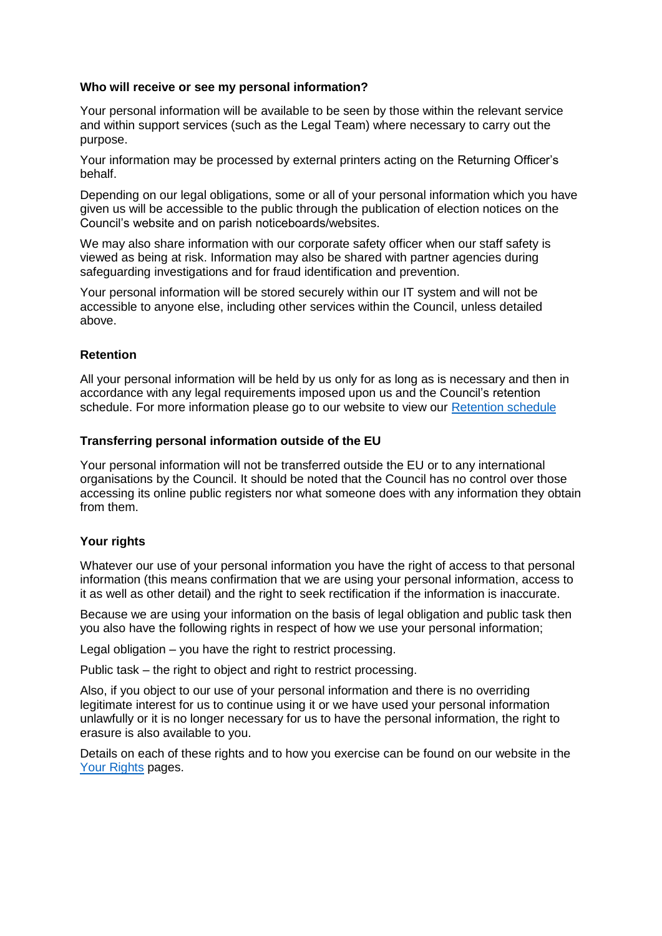#### **Who will receive or see my personal information?**

Your personal information will be available to be seen by those within the relevant service and within support services (such as the Legal Team) where necessary to carry out the purpose.

Your information may be processed by external printers acting on the Returning Officer's behalf.

Depending on our legal obligations, some or all of your personal information which you have given us will be accessible to the public through the publication of election notices on the Council's website and on parish noticeboards/websites.

We may also share information with our corporate safety officer when our staff safety is viewed as being at risk. Information may also be shared with partner agencies during safeguarding investigations and for fraud identification and prevention.

Your personal information will be stored securely within our IT system and will not be accessible to anyone else, including other services within the Council, unless detailed above.

#### **Retention**

All your personal information will be held by us only for as long as is necessary and then in accordance with any legal requirements imposed upon us and the Council's retention schedule. For more information please go to our website to view our [Retention schedule](http://eastdevon.gov.uk/access-to-information/data-protection/document-retention-schedules/)

#### **Transferring personal information outside of the EU**

Your personal information will not be transferred outside the EU or to any international organisations by the Council. It should be noted that the Council has no control over those accessing its online public registers nor what someone does with any information they obtain from them.

#### **Your rights**

Whatever our use of your personal information you have the right of access to that personal information (this means confirmation that we are using your personal information, access to it as well as other detail) and the right to seek rectification if the information is inaccurate.

Because we are using your information on the basis of legal obligation and public task then you also have the following rights in respect of how we use your personal information;

Legal obligation – you have the right to restrict processing.

Public task – the right to object and right to restrict processing.

Also, if you object to our use of your personal information and there is no overriding legitimate interest for us to continue using it or we have used your personal information unlawfully or it is no longer necessary for us to have the personal information, the right to erasure is also available to you.

Details on each of these rights and to how you exercise can be found on our website in the [Your Rights](https://eastdevon.gov.uk/access-to-information/data-protection/data-protection-information/your-rights/) pages.